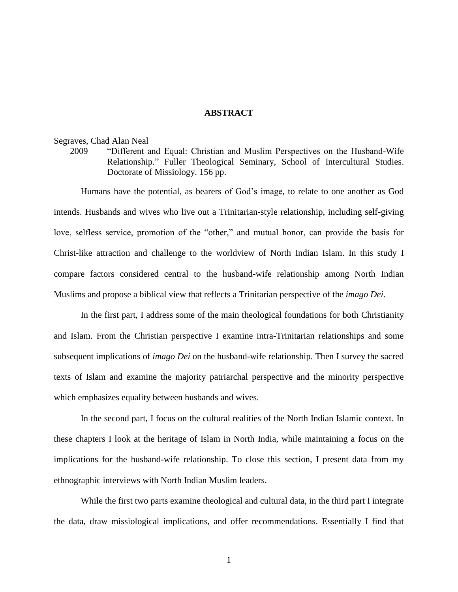## **ABSTRACT**

## Segraves, Chad Alan Neal

2009 "Different and Equal: Christian and Muslim Perspectives on the Husband-Wife Relationship." Fuller Theological Seminary, School of Intercultural Studies. Doctorate of Missiology. 156 pp.

Humans have the potential, as bearers of God's image, to relate to one another as God intends. Husbands and wives who live out a Trinitarian-style relationship, including self-giving love, selfless service, promotion of the "other," and mutual honor, can provide the basis for Christ-like attraction and challenge to the worldview of North Indian Islam. In this study I compare factors considered central to the husband-wife relationship among North Indian Muslims and propose a biblical view that reflects a Trinitarian perspective of the *imago Dei*.

In the first part, I address some of the main theological foundations for both Christianity and Islam. From the Christian perspective I examine intra-Trinitarian relationships and some subsequent implications of *imago Dei* on the husband-wife relationship. Then I survey the sacred texts of Islam and examine the majority patriarchal perspective and the minority perspective which emphasizes equality between husbands and wives.

In the second part, I focus on the cultural realities of the North Indian Islamic context. In these chapters I look at the heritage of Islam in North India, while maintaining a focus on the implications for the husband-wife relationship. To close this section, I present data from my ethnographic interviews with North Indian Muslim leaders.

While the first two parts examine theological and cultural data, in the third part I integrate the data, draw missiological implications, and offer recommendations. Essentially I find that